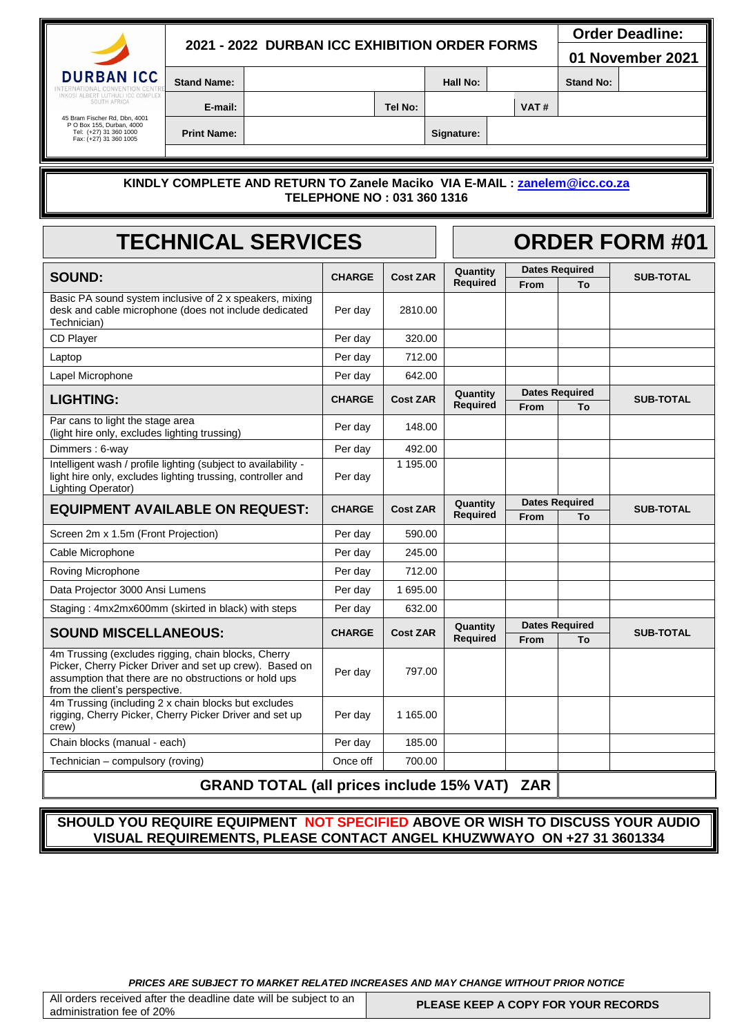# **2021 - 2022 DURBAN ICC EXHIBITION ORDER FORMS**

 **Order Deadline:** 

**01 November 2021**

**DURBAN ICC** 

**Stand Name: Assumed A Hall No: Hall No: Stand No: Stand No:** 

45 Bram Fischer Rd, Dbn, 4001 P O Box 155, Durban, 4000 Tel: (+27) 31 360 1000 Fax: (+27) 31 360 1005

**Print Name: Signature:** 

# **E-mail: Tel No: VAT #**

### **KINDLY COMPLETE AND RETURN TO Zanele Maciko VIA E-MAIL : [zanelem@icc.co.za](mailto:zanelem@icc.co.za)  TELEPHONE NO : 031 360 1316**

| <b>TECHNICAL SERVICES</b>                                                                                                                           |               |                 |                      | <b>ORDER FORM #01</b> |                             |                  |
|-----------------------------------------------------------------------------------------------------------------------------------------------------|---------------|-----------------|----------------------|-----------------------|-----------------------------|------------------|
| <b>SOUND:</b>                                                                                                                                       | <b>CHARGE</b> | <b>Cost ZAR</b> | Quantity             |                       | <b>Dates Required</b>       | <b>SUB-TOTAL</b> |
| Basic PA sound system inclusive of 2 x speakers, mixing<br>desk and cable microphone (does not include dedicated<br>Technician)                     | Per day       | 2810.00         | Required             | From                  | To                          |                  |
| CD Player                                                                                                                                           | Per day       | 320.00          |                      |                       |                             |                  |
| Laptop                                                                                                                                              | Per day       | 712.00          |                      |                       |                             |                  |
| Lapel Microphone                                                                                                                                    | Per day       | 642.00          |                      |                       |                             |                  |
| <b>LIGHTING:</b>                                                                                                                                    | <b>CHARGE</b> | <b>Cost ZAR</b> | Quantity<br>Required | <b>From</b>           | <b>Dates Required</b><br>To | <b>SUB-TOTAL</b> |
| Par cans to light the stage area<br>(light hire only, excludes lighting trussing)                                                                   | Per day       | 148.00          |                      |                       |                             |                  |
| Dimmers: 6-way                                                                                                                                      | Per day       | 492.00          |                      |                       |                             |                  |
| Intelligent wash / profile lighting (subject to availability -<br>light hire only, excludes lighting trussing, controller and<br>Lighting Operator) | Per day       | 1 195.00        |                      |                       |                             |                  |
| <b>EQUIPMENT AVAILABLE ON REQUEST:</b>                                                                                                              | <b>CHARGE</b> | <b>Cost ZAR</b> | Quantity<br>Required | From                  | <b>Dates Required</b><br>To | <b>SUB-TOTAL</b> |
| Screen 2m x 1.5m (Front Projection)                                                                                                                 | Per day       | 590.00          |                      |                       |                             |                  |
| Cable Microphone                                                                                                                                    | Per day       | 245.00          |                      |                       |                             |                  |
| Roving Microphone                                                                                                                                   | Per day       | 712.00          |                      |                       |                             |                  |
| Data Projector 3000 Ansi Lumens                                                                                                                     | Per day       | 1 695.00        |                      |                       |                             |                  |
| Staging: 4mx2mx600mm (skirted in black) with steps                                                                                                  | Per day       | 632.00          |                      |                       |                             |                  |
| <b>SOUND MISCELLANEOUS:</b>                                                                                                                         | <b>CHARGE</b> | <b>Cost ZAR</b> | Quantity             |                       | <b>Dates Required</b>       | <b>SUB-TOTAL</b> |
| 4m Trussing (excludes rigging, chain blocks, Cherry                                                                                                 |               |                 | Required             | From                  | To                          |                  |
| Picker, Cherry Picker Driver and set up crew). Based on<br>assumption that there are no obstructions or hold ups<br>from the client's perspective.  | Per day       | 797.00          |                      |                       |                             |                  |
| 4m Trussing (including 2 x chain blocks but excludes<br>rigging, Cherry Picker, Cherry Picker Driver and set up<br>crew)                            | Per dav       | 1 165.00        |                      |                       |                             |                  |
| Chain blocks (manual - each)                                                                                                                        | Per day       | 185.00          |                      |                       |                             |                  |
| Technician - compulsory (roving)                                                                                                                    | Once off      | 700.00          |                      |                       |                             |                  |
| <b>GRAND TOTAL (all prices include 15% VAT) ZAR</b>                                                                                                 |               |                 |                      |                       |                             |                  |

**SHOULD YOU REQUIRE EQUIPMENT NOT SPECIFIED ABOVE OR WISH TO DISCUSS YOUR AUDIO VISUAL REQUIREMENTS, PLEASE CONTACT ANGEL KHUZWWAYO ON +27 31 3601334**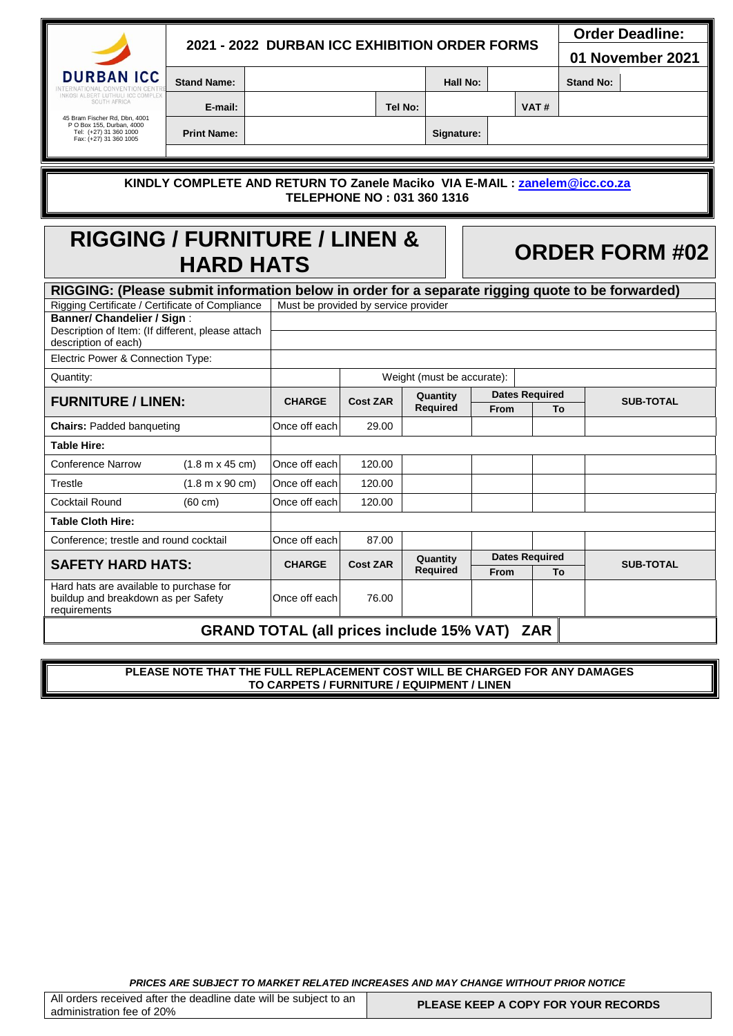|                                                                                                                |                                               |                                                     |                 |                            |             |                       |                  | <b>Order Deadline:</b> |  |  |  |
|----------------------------------------------------------------------------------------------------------------|-----------------------------------------------|-----------------------------------------------------|-----------------|----------------------------|-------------|-----------------------|------------------|------------------------|--|--|--|
|                                                                                                                | 2021 - 2022 DURBAN ICC EXHIBITION ORDER FORMS |                                                     |                 |                            |             |                       | 01 November 2021 |                        |  |  |  |
| <b>RBAN ICC</b>                                                                                                | <b>Stand Name:</b>                            |                                                     |                 | <b>Hall No:</b>            |             |                       | <b>Stand No:</b> |                        |  |  |  |
| NKOSI ALBERT LUTHULI ICC COMPLE<br>SOUTH AFRICA                                                                | E-mail:                                       |                                                     |                 | Tel No:                    |             | VAT#                  |                  |                        |  |  |  |
| 45 Bram Fischer Rd, Dbn, 4001<br>P O Box 155, Durban, 4000<br>Tel: (+27) 31 360 1000                           |                                               |                                                     |                 |                            |             |                       |                  |                        |  |  |  |
| Fax: (+27) 31 360 1005                                                                                         | <b>Print Name:</b>                            |                                                     |                 | Signature:                 |             |                       |                  |                        |  |  |  |
|                                                                                                                |                                               |                                                     |                 |                            |             |                       |                  |                        |  |  |  |
| KINDLY COMPLETE AND RETURN TO Zanele Maciko VIA E-MAIL : zanelem@icc.co.za<br>TELEPHONE NO: 031 360 1316       |                                               |                                                     |                 |                            |             |                       |                  |                        |  |  |  |
| <b>RIGGING / FURNITURE / LINEN &amp;</b><br><b>ORDER FORM #02</b><br><b>HARD HATS</b>                          |                                               |                                                     |                 |                            |             |                       |                  |                        |  |  |  |
| RIGGING: (Please submit information below in order for a separate rigging quote to be forwarded)               |                                               |                                                     |                 |                            |             |                       |                  |                        |  |  |  |
| Rigging Certificate / Certificate of Compliance                                                                |                                               | Must be provided by service provider                |                 |                            |             |                       |                  |                        |  |  |  |
| <b>Banner/ Chandelier / Sign:</b><br>Description of Item: (If different, please attach<br>description of each) |                                               |                                                     |                 |                            |             |                       |                  |                        |  |  |  |
| Electric Power & Connection Type:                                                                              |                                               |                                                     |                 |                            |             |                       |                  |                        |  |  |  |
| Quantity:                                                                                                      |                                               |                                                     |                 | Weight (must be accurate): |             |                       |                  |                        |  |  |  |
| <b>FURNITURE / LINEN:</b>                                                                                      |                                               | <b>CHARGE</b>                                       | <b>Cost ZAR</b> | Quantity<br>Required       |             | <b>Dates Required</b> |                  | <b>SUB-TOTAL</b>       |  |  |  |
| <b>Chairs: Padded banqueting</b>                                                                               |                                               | Once off each                                       | 29.00           |                            | <b>From</b> | To                    |                  |                        |  |  |  |
| Table Hire:                                                                                                    |                                               |                                                     |                 |                            |             |                       |                  |                        |  |  |  |
| <b>Conference Narrow</b>                                                                                       | $(1.8 m \times 45 cm)$                        | Once off each                                       | 120.00          |                            |             |                       |                  |                        |  |  |  |
| Trestle                                                                                                        | $(1.8 m \times 90 cm)$                        | Once off each                                       | 120.00          |                            |             |                       |                  |                        |  |  |  |
| <b>Cocktail Round</b>                                                                                          | $(60 \text{ cm})$                             | Once off each                                       | 120.00          |                            |             |                       |                  |                        |  |  |  |
| <b>Table Cloth Hire:</b>                                                                                       |                                               |                                                     |                 |                            |             |                       |                  |                        |  |  |  |
| Conference; trestle and round cocktail                                                                         |                                               | Once off each                                       | 87.00           |                            |             |                       |                  |                        |  |  |  |
| <b>SAFETY HARD HATS:</b>                                                                                       |                                               | <b>CHARGE</b>                                       | <b>Cost ZAR</b> | Quantity                   |             | <b>Dates Required</b> |                  | <b>SUB-TOTAL</b>       |  |  |  |
|                                                                                                                |                                               |                                                     |                 | <b>Required</b>            | <b>From</b> |                       | To               |                        |  |  |  |
| Hard hats are available to purchase for<br>buildup and breakdown as per Safety<br>requirements                 |                                               | Once off each                                       | 76.00           |                            |             |                       |                  |                        |  |  |  |
|                                                                                                                |                                               | <b>GRAND TOTAL (all prices include 15% VAT) ZAR</b> |                 |                            |             |                       |                  |                        |  |  |  |

**PLEASE NOTE THAT THE FULL REPLACEMENT COST WILL BE CHARGED FOR ANY DAMAGES TO CARPETS / FURNITURE / EQUIPMENT / LINEN**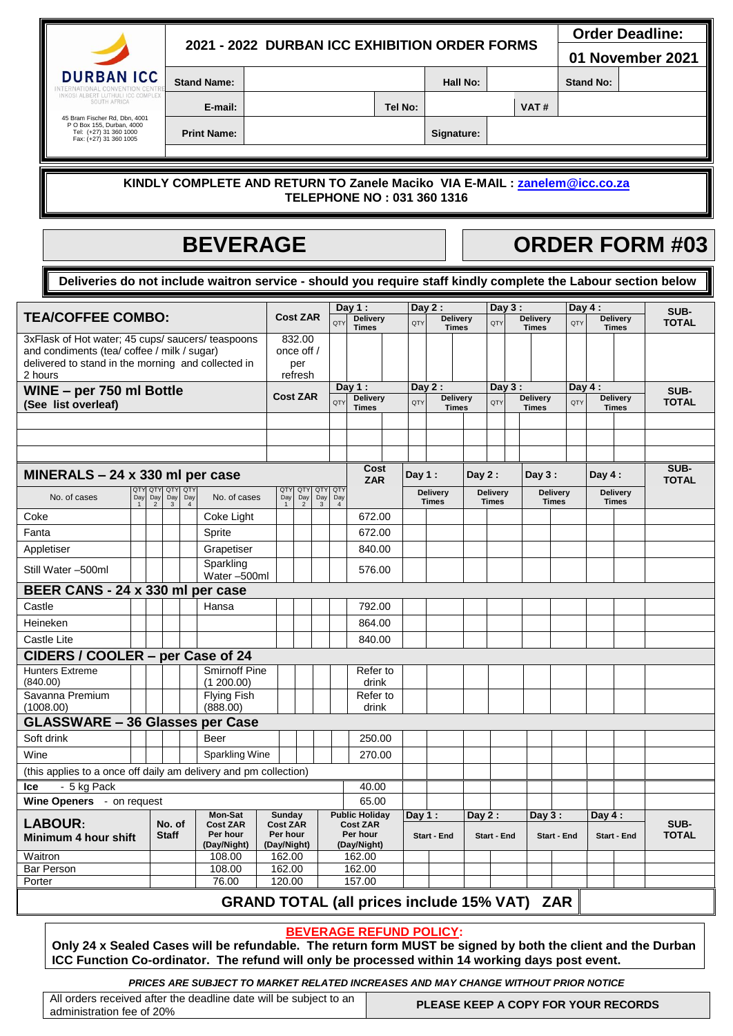|                                                                                                                |                    | 2021 - 2022 DURBAN ICC EXHIBITION ORDER FORMS                               | <b>Order Deadline:</b><br>01 November 2021 |            |      |                  |  |
|----------------------------------------------------------------------------------------------------------------|--------------------|-----------------------------------------------------------------------------|--------------------------------------------|------------|------|------------------|--|
| <b>DURBAN ICC</b>                                                                                              | <b>Stand Name:</b> |                                                                             |                                            | Hall No:   |      | <b>Stand No:</b> |  |
| ALBERT LUTHULLICC COMPLEX<br>SOUTH AFRICA                                                                      | E-mail:            |                                                                             | Tel No:                                    |            | VAT# |                  |  |
| 45 Bram Fischer Rd, Dbn, 4001<br>P O Box 155, Durban, 4000<br>Tel: (+27) 31 360 1000<br>Fax: (+27) 31 360 1005 | <b>Print Name:</b> |                                                                             |                                            | Signature: |      |                  |  |
|                                                                                                                |                    |                                                                             |                                            |            |      |                  |  |
|                                                                                                                |                    | KINDLY COMPLETE AND RETURN TO Zanele Maciko, VIA E-MAIL : zanelem@icc.co.za |                                            |            |      |                  |  |

### **KINDLY COMPLETE AND RETURN TO Zanele Maciko VIA E-MAIL : [zanelem@icc.co.za](mailto:zanelem@icc.co.za)  TELEPHONE NO : 031 360 1316**

# **BEVERAGE THE ORDER FORM #03**

**Deliveries do not include waitron service - should you require staff kindly complete the Labour section below**

| SUB-<br><b>TEA/COFFEE COMBO:</b><br><b>Cost ZAR</b><br><b>Delivery</b><br><b>Delivery</b><br><b>Delivery</b><br><b>Delivery</b><br><b>QTY</b><br>OT)<br><b>OTY</b><br><b>TOTAL</b><br>OT)<br><b>Times</b><br><b>Times</b><br><b>Times</b><br><b>Times</b><br>832.00<br>3xFlask of Hot water; 45 cups/ saucers/ teaspoons<br>and condiments (tea/ coffee / milk / sugar)<br>once off /<br>delivered to stand in the morning and collected in<br>per<br>2 hours<br>refresh<br>Day $1:$<br>Day $2:$<br>Day 3:<br>Day $4:$<br>WINE - per 750 ml Bottle<br>SUB-<br><b>Cost ZAR</b><br><b>Delivery</b><br><b>Delivery</b><br><b>Delivery</b><br>Delivery<br>QTY<br>QTY<br>QTY<br><b>TOTAL</b><br>QT<br>(See list overleaf)<br><b>Times</b><br><b>Times</b><br><b>Times</b><br><b>Times</b><br>SUB-<br>Cost |  |  |  |  |  |  |  |  |  |  |
|------------------------------------------------------------------------------------------------------------------------------------------------------------------------------------------------------------------------------------------------------------------------------------------------------------------------------------------------------------------------------------------------------------------------------------------------------------------------------------------------------------------------------------------------------------------------------------------------------------------------------------------------------------------------------------------------------------------------------------------------------------------------------------------------------|--|--|--|--|--|--|--|--|--|--|
|                                                                                                                                                                                                                                                                                                                                                                                                                                                                                                                                                                                                                                                                                                                                                                                                      |  |  |  |  |  |  |  |  |  |  |
|                                                                                                                                                                                                                                                                                                                                                                                                                                                                                                                                                                                                                                                                                                                                                                                                      |  |  |  |  |  |  |  |  |  |  |
|                                                                                                                                                                                                                                                                                                                                                                                                                                                                                                                                                                                                                                                                                                                                                                                                      |  |  |  |  |  |  |  |  |  |  |
|                                                                                                                                                                                                                                                                                                                                                                                                                                                                                                                                                                                                                                                                                                                                                                                                      |  |  |  |  |  |  |  |  |  |  |
|                                                                                                                                                                                                                                                                                                                                                                                                                                                                                                                                                                                                                                                                                                                                                                                                      |  |  |  |  |  |  |  |  |  |  |
|                                                                                                                                                                                                                                                                                                                                                                                                                                                                                                                                                                                                                                                                                                                                                                                                      |  |  |  |  |  |  |  |  |  |  |
|                                                                                                                                                                                                                                                                                                                                                                                                                                                                                                                                                                                                                                                                                                                                                                                                      |  |  |  |  |  |  |  |  |  |  |
|                                                                                                                                                                                                                                                                                                                                                                                                                                                                                                                                                                                                                                                                                                                                                                                                      |  |  |  |  |  |  |  |  |  |  |
|                                                                                                                                                                                                                                                                                                                                                                                                                                                                                                                                                                                                                                                                                                                                                                                                      |  |  |  |  |  |  |  |  |  |  |
|                                                                                                                                                                                                                                                                                                                                                                                                                                                                                                                                                                                                                                                                                                                                                                                                      |  |  |  |  |  |  |  |  |  |  |
| MINERALS - 24 x 330 ml per case<br>Day $1:$<br>Day $2:$<br>Day $3:$<br>Day $4:$<br><b>TOTAL</b><br><b>ZAR</b><br>QTY QTY QTY<br>QTY<br><b>QTY</b><br>QTY<br>QTY<br>QTY                                                                                                                                                                                                                                                                                                                                                                                                                                                                                                                                                                                                                               |  |  |  |  |  |  |  |  |  |  |
| <b>Delivery</b><br><b>Delivery</b><br><b>Delivery</b><br><b>Delivery</b><br>No. of cases<br>No. of cases<br>Day<br>Day<br>Day<br>Day<br>Day<br>Day<br>Day<br>Day<br><b>Times</b><br><b>Times</b><br><b>Times</b><br><b>Times</b><br>$\overline{2}$<br>$\mathbf{3}$<br>$\mathbf{3}$<br>$\overline{4}$<br>$\overline{4}$<br>$\mathbf{1}$<br>$\overline{2}$                                                                                                                                                                                                                                                                                                                                                                                                                                             |  |  |  |  |  |  |  |  |  |  |
| Coke<br>672.00<br>Coke Light                                                                                                                                                                                                                                                                                                                                                                                                                                                                                                                                                                                                                                                                                                                                                                         |  |  |  |  |  |  |  |  |  |  |
| 672.00<br>Fanta<br>Sprite                                                                                                                                                                                                                                                                                                                                                                                                                                                                                                                                                                                                                                                                                                                                                                            |  |  |  |  |  |  |  |  |  |  |
| 840.00<br>Appletiser<br>Grapetiser                                                                                                                                                                                                                                                                                                                                                                                                                                                                                                                                                                                                                                                                                                                                                                   |  |  |  |  |  |  |  |  |  |  |
| Sparkling<br>Still Water -500ml<br>576.00<br>Water-500ml                                                                                                                                                                                                                                                                                                                                                                                                                                                                                                                                                                                                                                                                                                                                             |  |  |  |  |  |  |  |  |  |  |
| BEER CANS - 24 x 330 ml per case                                                                                                                                                                                                                                                                                                                                                                                                                                                                                                                                                                                                                                                                                                                                                                     |  |  |  |  |  |  |  |  |  |  |
| Castle<br>Hansa<br>792.00                                                                                                                                                                                                                                                                                                                                                                                                                                                                                                                                                                                                                                                                                                                                                                            |  |  |  |  |  |  |  |  |  |  |
| Heineken<br>864.00                                                                                                                                                                                                                                                                                                                                                                                                                                                                                                                                                                                                                                                                                                                                                                                   |  |  |  |  |  |  |  |  |  |  |
| Castle Lite<br>840.00                                                                                                                                                                                                                                                                                                                                                                                                                                                                                                                                                                                                                                                                                                                                                                                |  |  |  |  |  |  |  |  |  |  |
| CIDERS / COOLER - per Case of 24                                                                                                                                                                                                                                                                                                                                                                                                                                                                                                                                                                                                                                                                                                                                                                     |  |  |  |  |  |  |  |  |  |  |
| <b>Smirnoff Pine</b><br><b>Hunters Extreme</b><br>Refer to                                                                                                                                                                                                                                                                                                                                                                                                                                                                                                                                                                                                                                                                                                                                           |  |  |  |  |  |  |  |  |  |  |
| (840.00)<br>(1200.00)<br>drink                                                                                                                                                                                                                                                                                                                                                                                                                                                                                                                                                                                                                                                                                                                                                                       |  |  |  |  |  |  |  |  |  |  |
| Savanna Premium<br>Flying Fish<br>Refer to<br>(888.00)<br>(1008.00)<br>drink                                                                                                                                                                                                                                                                                                                                                                                                                                                                                                                                                                                                                                                                                                                         |  |  |  |  |  |  |  |  |  |  |
| <b>GLASSWARE - 36 Glasses per Case</b>                                                                                                                                                                                                                                                                                                                                                                                                                                                                                                                                                                                                                                                                                                                                                               |  |  |  |  |  |  |  |  |  |  |
| Soft drink<br>250.00<br>Beer                                                                                                                                                                                                                                                                                                                                                                                                                                                                                                                                                                                                                                                                                                                                                                         |  |  |  |  |  |  |  |  |  |  |
| Wine<br><b>Sparkling Wine</b><br>270.00                                                                                                                                                                                                                                                                                                                                                                                                                                                                                                                                                                                                                                                                                                                                                              |  |  |  |  |  |  |  |  |  |  |
| (this applies to a once off daily am delivery and pm collection)                                                                                                                                                                                                                                                                                                                                                                                                                                                                                                                                                                                                                                                                                                                                     |  |  |  |  |  |  |  |  |  |  |
| - 5 kg Pack<br>40.00<br>lce                                                                                                                                                                                                                                                                                                                                                                                                                                                                                                                                                                                                                                                                                                                                                                          |  |  |  |  |  |  |  |  |  |  |
| 65.00<br>Wine Openers - on request                                                                                                                                                                                                                                                                                                                                                                                                                                                                                                                                                                                                                                                                                                                                                                   |  |  |  |  |  |  |  |  |  |  |
| Mon-Sat<br><b>Public Holiday</b><br>Sunday<br>Day $1:$<br>Day $2:$<br>Day $3:$<br>Day 4 :<br><b>LABOUR:</b>                                                                                                                                                                                                                                                                                                                                                                                                                                                                                                                                                                                                                                                                                          |  |  |  |  |  |  |  |  |  |  |
| SUB-<br>No. of<br><b>Cost ZAR</b><br><b>Cost ZAR</b><br><b>Cost ZAR</b><br>Per hour<br>Per hour<br>Per hour<br><b>TOTAL</b><br><b>Staff</b><br>Start - End<br>Start - End<br>Start - End<br>Minimum 4 hour shift<br>Start - End                                                                                                                                                                                                                                                                                                                                                                                                                                                                                                                                                                      |  |  |  |  |  |  |  |  |  |  |
| (Day/Night)<br>(Day/Night)<br>(Day/Night)                                                                                                                                                                                                                                                                                                                                                                                                                                                                                                                                                                                                                                                                                                                                                            |  |  |  |  |  |  |  |  |  |  |
| 162.00<br>Waitron<br>108.00<br>162.00                                                                                                                                                                                                                                                                                                                                                                                                                                                                                                                                                                                                                                                                                                                                                                |  |  |  |  |  |  |  |  |  |  |
| 162.00<br>162.00<br><b>Bar Person</b><br>108.00                                                                                                                                                                                                                                                                                                                                                                                                                                                                                                                                                                                                                                                                                                                                                      |  |  |  |  |  |  |  |  |  |  |
| 157.00<br>76.00<br>120.00<br>Porter<br>المنافذ والمناسبة<br>$A$ FOLMATI<br>7.6<br>88 AND TATAL /-U                                                                                                                                                                                                                                                                                                                                                                                                                                                                                                                                                                                                                                                                                                   |  |  |  |  |  |  |  |  |  |  |

## **GRAND TOTAL (all prices include 15% VAT) ZAR**

### **BEVERAGE REFUND POLICY:**

**Only 24 x Sealed Cases will be refundable. The return form MUST be signed by both the client and the Durban ICC Function Co-ordinator. The refund will only be processed within 14 working days post event.**

*PRICES ARE SUBJECT TO MARKET RELATED INCREASES AND MAY CHANGE WITHOUT PRIOR NOTICE*

All orders received after the deadline date will be subject to an All orders received after the deadline date will be subject to an **PLEASE KEEP A COPY FOR YOUR RECORDS**<br>administration fee of 20%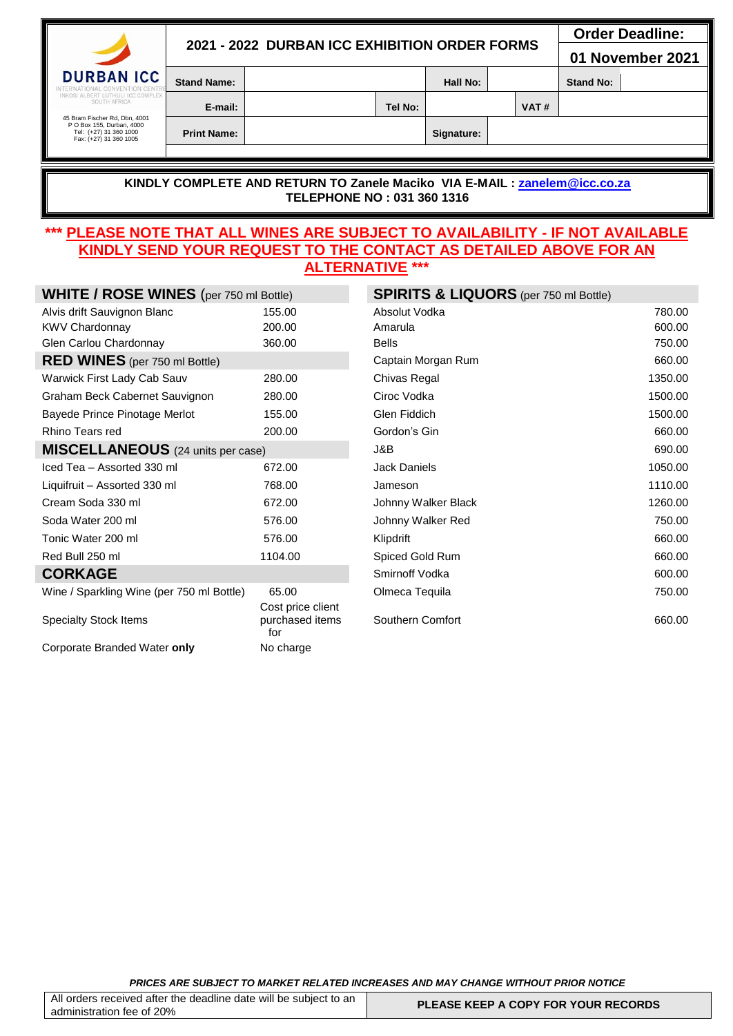|                                                                                                                |                    |                                               | <b>Order Deadline:</b> |      |                  |  |
|----------------------------------------------------------------------------------------------------------------|--------------------|-----------------------------------------------|------------------------|------|------------------|--|
| $\overline{\phantom{a}}$                                                                                       |                    | 2021 - 2022 DURBAN ICC EXHIBITION ORDER FORMS | 01 November 2021       |      |                  |  |
| <b>DURBAN ICC</b><br>INTERNATIONAL CONVENTION CENTR                                                            | <b>Stand Name:</b> |                                               | Hall No:               |      | <b>Stand No:</b> |  |
| INKOSI ALBERT LUTHULI ICC COMPLEX<br>SOUTH AFRICA                                                              | E-mail:            | Tel No:                                       |                        | VAT# |                  |  |
| 45 Bram Fischer Rd, Dbn, 4001<br>P O Box 155, Durban, 4000<br>Tel: (+27) 31 360 1000<br>Fax: (+27) 31 360 1005 | <b>Print Name:</b> |                                               | Signature:             |      |                  |  |
|                                                                                                                |                    |                                               |                        |      |                  |  |

### **KINDLY COMPLETE AND RETURN TO Zanele Maciko VIA E-MAIL : [zanelem@icc.co.za](mailto:zanelem@icc.co.za)  TELEPHONE NO : 031 360 1316**

### **\*\*\* PLEASE NOTE THAT ALL WINES ARE SUBJECT TO AVAILABILITY - IF NOT AVAILABLE KINDLY SEND YOUR REQUEST TO THE CONTACT AS DETAILED ABOVE FOR AN ALTERNATIVE \*\*\***

| <b>WHITE / ROSE WINES</b> (per 750 ml Bottle) |                                             | <b>SPIRITS &amp; LIQUORS</b> (per 750 ml Bottle) |         |
|-----------------------------------------------|---------------------------------------------|--------------------------------------------------|---------|
| Alvis drift Sauvignon Blanc                   | 155.00                                      | Absolut Vodka                                    | 780.00  |
| <b>KWV Chardonnay</b>                         | 200.00                                      | Amarula                                          | 600.00  |
| Glen Carlou Chardonnay                        | 360.00                                      | <b>Bells</b>                                     | 750.00  |
| <b>RED WINES</b> (per 750 ml Bottle)          |                                             | Captain Morgan Rum                               | 660.00  |
| Warwick First Lady Cab Sauv                   | 280.00                                      | Chivas Regal                                     | 1350.00 |
| Graham Beck Cabernet Sauvignon                | 280.00                                      | Ciroc Vodka                                      | 1500.00 |
| Bayede Prince Pinotage Merlot                 | 155.00                                      | Glen Fiddich                                     | 1500.00 |
| Rhino Tears red                               | 200.00                                      | Gordon's Gin                                     | 660.00  |
| <b>MISCELLANEOUS</b> (24 units per case)      |                                             | J&B                                              | 690.00  |
| Iced Tea - Assorted 330 ml                    | 672.00                                      | <b>Jack Daniels</b>                              | 1050.00 |
| Liquifruit - Assorted 330 ml                  | 768.00                                      | Jameson                                          | 1110.00 |
| Cream Soda 330 ml                             | 672.00                                      | Johnny Walker Black                              | 1260.00 |
| Soda Water 200 ml                             | 576.00                                      | Johnny Walker Red                                | 750.00  |
| Tonic Water 200 ml                            | 576.00                                      | Klipdrift                                        | 660.00  |
| Red Bull 250 ml                               | 1104.00                                     | Spiced Gold Rum                                  | 660.00  |
| <b>CORKAGE</b>                                |                                             | Smirnoff Vodka                                   | 600.00  |
| Wine / Sparkling Wine (per 750 ml Bottle)     | 65.00                                       | Olmeca Tequila                                   | 750.00  |
| <b>Specialty Stock Items</b>                  | Cost price client<br>purchased items<br>for | Southern Comfort                                 | 660.00  |
| Corporate Branded Water only                  | No charge                                   |                                                  |         |
|                                               |                                             |                                                  |         |

| <b>SPIRITS &amp; LIQUORS</b> (per 750 ml Bottle) |         |
|--------------------------------------------------|---------|
| Absolut Vodka                                    | 780.00  |
| Amarula                                          | 600.00  |
| <b>Bells</b>                                     | 750.00  |
| Captain Morgan Rum                               | 660.00  |
| Chivas Regal                                     | 1350.00 |
| Ciroc Vodka                                      | 1500.00 |
| Glen Fiddich                                     | 1500.00 |
| Gordon's Gin                                     | 660.00  |
| .I&B                                             | 690.00  |
| Jack Daniels                                     | 1050.00 |
| Jameson                                          | 1110.00 |
| Johnny Walker Black                              | 1260.00 |
| Johnny Walker Red                                | 750.00  |
| Klipdrift                                        | 660.00  |
| Spiced Gold Rum                                  | 660.00  |
| Smirnoff Vodka                                   | 600.00  |
| Olmeca Tequila                                   | 750.00  |
| Southern Comfort                                 | 660.00  |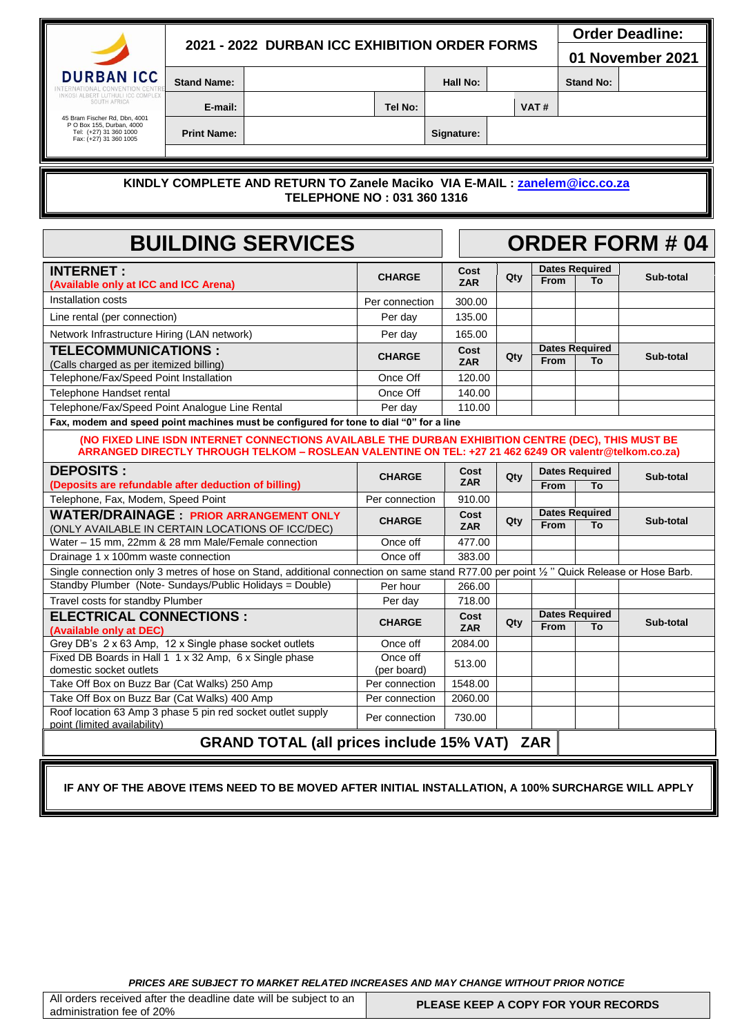## **2021 - 2022 DURBAN ICC EXHIBITION ORDER FORMS**

 **Order Deadline:** 

**01 November 2021**

**DURBAN ICC** 

**Stand Name: Assumed A CONSISTENT A CONSISTENT MAIL No: <b>A** CONSISTENT A Stand No:

**E-mail: Tel No: VAT #**

45 Bram Fischer Rd, Dbn, 4001 P O Box 155, Durban, 4000 Tel: (+27) 31 360 1000 Fax: (+27) 31 360 1005

**Print Name: Signature:** 

### **KINDLY COMPLETE AND RETURN TO Zanele Maciko VIA E-MAIL : [zanelem@icc.co.za](mailto:zanelem@icc.co.za)  TELEPHONE NO : 031 360 1316**

| <b>BUILDING SERVICES</b>                                                                                                                                                                                     |                         |                    |     |             | <b>ORDER FORM # 04</b>      |           |  |  |  |  |  |
|--------------------------------------------------------------------------------------------------------------------------------------------------------------------------------------------------------------|-------------------------|--------------------|-----|-------------|-----------------------------|-----------|--|--|--|--|--|
| <b>INTERNET:</b><br>(Available only at ICC and ICC Arena)                                                                                                                                                    | <b>CHARGE</b>           | Cost<br><b>ZAR</b> | Qty | <b>From</b> | <b>Dates Required</b><br>Τo | Sub-total |  |  |  |  |  |
| Installation costs                                                                                                                                                                                           | Per connection          | 300.00             |     |             |                             |           |  |  |  |  |  |
| Line rental (per connection)                                                                                                                                                                                 | Per day                 | 135.00             |     |             |                             |           |  |  |  |  |  |
| Network Infrastructure Hiring (LAN network)                                                                                                                                                                  | Per day                 | 165.00             |     |             |                             |           |  |  |  |  |  |
| <b>TELECOMMUNICATIONS :</b><br>(Calls charged as per itemized billing)                                                                                                                                       | <b>CHARGE</b>           | Cost<br><b>ZAR</b> | Qty | From        | <b>Dates Required</b><br>To | Sub-total |  |  |  |  |  |
| Telephone/Fax/Speed Point Installation                                                                                                                                                                       | Once Off                | 120.00             |     |             |                             |           |  |  |  |  |  |
| Telephone Handset rental                                                                                                                                                                                     | Once Off                | 140.00             |     |             |                             |           |  |  |  |  |  |
| Telephone/Fax/Speed Point Analogue Line Rental                                                                                                                                                               | Per dav                 | 110.00             |     |             |                             |           |  |  |  |  |  |
| Fax, modem and speed point machines must be configured for tone to dial "0" for a line                                                                                                                       |                         |                    |     |             |                             |           |  |  |  |  |  |
| (NO FIXED LINE ISDN INTERNET CONNECTIONS AVAILABLE THE DURBAN EXHIBITION CENTRE (DEC), THIS MUST BE<br>ARRANGED DIRECTLY THROUGH TELKOM - ROSLEAN VALENTINE ON TEL: +27 21 462 6249 OR valentr@telkom.co.za) |                         |                    |     |             |                             |           |  |  |  |  |  |
| <b>DEPOSITS:</b>                                                                                                                                                                                             | <b>CHARGE</b>           | Cost               | Qty |             | <b>Dates Required</b>       | Sub-total |  |  |  |  |  |
| (Deposits are refundable after deduction of billing)                                                                                                                                                         |                         | <b>ZAR</b>         |     | <b>From</b> | To                          |           |  |  |  |  |  |
| Telephone, Fax, Modem, Speed Point                                                                                                                                                                           | Per connection          | 910.00             |     |             |                             |           |  |  |  |  |  |
| <b>WATER/DRAINAGE: PRIOR ARRANGEMENT ONLY</b><br>(ONLY AVAILABLE IN CERTAIN LOCATIONS OF ICC/DEC)                                                                                                            | <b>CHARGE</b>           | Cost<br><b>ZAR</b> | Qty | <b>From</b> | <b>Dates Required</b><br>To | Sub-total |  |  |  |  |  |
| Water - 15 mm, 22mm & 28 mm Male/Female connection                                                                                                                                                           | Once off                | 477.00             |     |             |                             |           |  |  |  |  |  |
| Drainage 1 x 100mm waste connection                                                                                                                                                                          | Once off                | 383.00             |     |             |                             |           |  |  |  |  |  |
| Single connection only 3 metres of hose on Stand, additional connection on same stand R77.00 per point 1/2 " Quick Release or Hose Barb.                                                                     |                         |                    |     |             |                             |           |  |  |  |  |  |
| Standby Plumber (Note-Sundays/Public Holidays = Double)                                                                                                                                                      | Per hour                | 266.00             |     |             |                             |           |  |  |  |  |  |
| Travel costs for standby Plumber                                                                                                                                                                             | Per day                 | 718.00             |     |             |                             |           |  |  |  |  |  |
| <b>ELECTRICAL CONNECTIONS:</b><br>(Available only at DEC)                                                                                                                                                    | <b>CHARGE</b>           | Cost<br><b>ZAR</b> | Qty | <b>From</b> | <b>Dates Required</b><br>To | Sub-total |  |  |  |  |  |
| Grey DB's 2 x 63 Amp, 12 x Single phase socket outlets                                                                                                                                                       | Once off                | 2084.00            |     |             |                             |           |  |  |  |  |  |
| Fixed DB Boards in Hall 1 1 x 32 Amp, 6 x Single phase<br>domestic socket outlets                                                                                                                            | Once off<br>(per board) | 513.00             |     |             |                             |           |  |  |  |  |  |
| Take Off Box on Buzz Bar (Cat Walks) 250 Amp                                                                                                                                                                 | Per connection          | 1548.00            |     |             |                             |           |  |  |  |  |  |
| Take Off Box on Buzz Bar (Cat Walks) 400 Amp                                                                                                                                                                 | Per connection          | 2060.00            |     |             |                             |           |  |  |  |  |  |
| Roof location 63 Amp 3 phase 5 pin red socket outlet supply<br>point (limited availability)                                                                                                                  | Per connection          | 730.00             |     |             |                             |           |  |  |  |  |  |
| <b>GRAND TOTAL (all prices include 15% VAT)</b>                                                                                                                                                              |                         |                    |     | <b>ZAR</b>  |                             |           |  |  |  |  |  |

**IF ANY OF THE ABOVE ITEMS NEED TO BE MOVED AFTER INITIAL INSTALLATION, A 100% SURCHARGE WILL APPLY**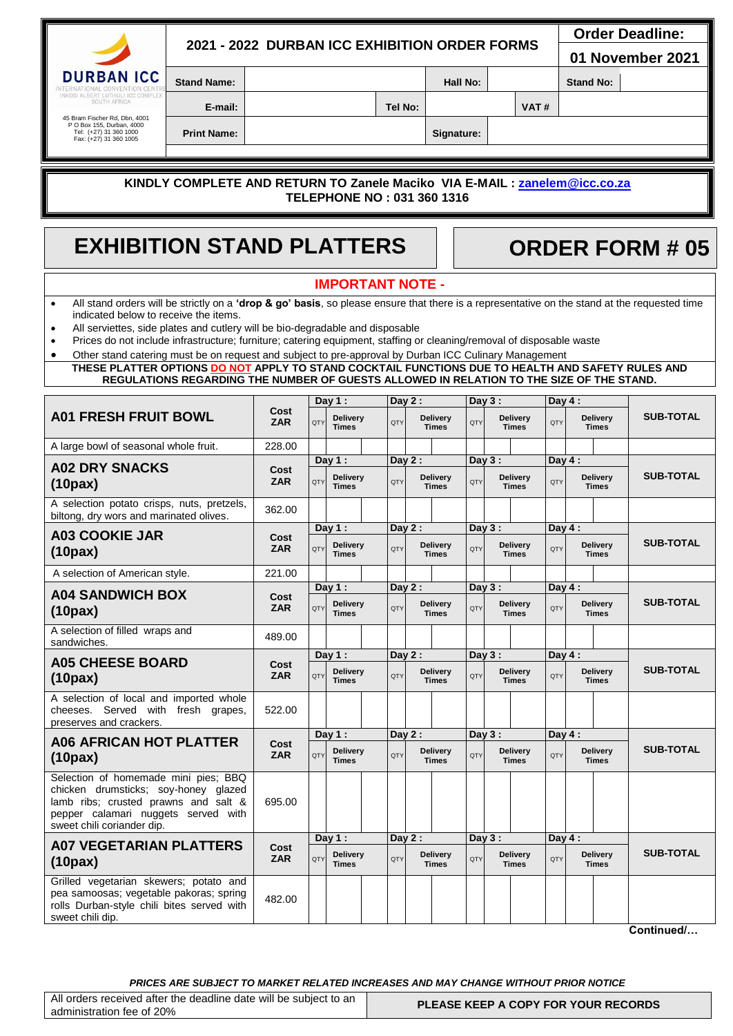|                                                                                                                                                                                                                                                                                                                                                                                                                                                                                                                                                                                                                            | 2021 - 2022 DURBAN ICC EXHIBITION ORDER FORMS                                            |                    |     |                                             |         |          |                                 |          |          |                                 |                 |                                 | <b>Order Deadline:</b><br>01 November 2021 |
|----------------------------------------------------------------------------------------------------------------------------------------------------------------------------------------------------------------------------------------------------------------------------------------------------------------------------------------------------------------------------------------------------------------------------------------------------------------------------------------------------------------------------------------------------------------------------------------------------------------------------|------------------------------------------------------------------------------------------|--------------------|-----|---------------------------------------------|---------|----------|---------------------------------|----------|----------|---------------------------------|-----------------|---------------------------------|--------------------------------------------|
| <b>DURBAN ICC</b><br>NTERNATIONAL CONVENTION CENTE                                                                                                                                                                                                                                                                                                                                                                                                                                                                                                                                                                         | <b>Stand Name:</b>                                                                       |                    |     |                                             |         |          |                                 | Hall No: |          |                                 |                 | <b>Stand No:</b>                |                                            |
| INKOSI ALBERT LUTHULI ICC COMPLEX<br>SOUTH AFRICA                                                                                                                                                                                                                                                                                                                                                                                                                                                                                                                                                                          | E-mail:                                                                                  |                    |     |                                             | Tel No: |          |                                 |          |          | VAT#                            |                 |                                 |                                            |
| 45 Bram Fischer Rd, Dbn, 4001<br>P O Box 155, Durban, 4000<br>Tel: (+27) 31 360 1000<br>Fax: (+27) 31 360 1005                                                                                                                                                                                                                                                                                                                                                                                                                                                                                                             | <b>Print Name:</b>                                                                       |                    |     |                                             |         |          | Signature:                      |          |          |                                 |                 |                                 |                                            |
|                                                                                                                                                                                                                                                                                                                                                                                                                                                                                                                                                                                                                            |                                                                                          |                    |     |                                             |         |          |                                 |          |          |                                 |                 |                                 |                                            |
|                                                                                                                                                                                                                                                                                                                                                                                                                                                                                                                                                                                                                            | KINDLY COMPLETE AND RETURN TO Zanele Maciko VIA E-MAIL : zanelem@icc.co.za               |                    |     | TELEPHONE NO: 031 360 1316                  |         |          |                                 |          |          |                                 |                 |                                 |                                            |
|                                                                                                                                                                                                                                                                                                                                                                                                                                                                                                                                                                                                                            | <b>EXHIBITION STAND PLATTERS</b><br><b>ORDER FORM # 05</b>                               |                    |     |                                             |         |          |                                 |          |          |                                 |                 |                                 |                                            |
|                                                                                                                                                                                                                                                                                                                                                                                                                                                                                                                                                                                                                            |                                                                                          |                    |     | <b>IMPORTANT NOTE -</b>                     |         |          |                                 |          |          |                                 |                 |                                 |                                            |
| All stand orders will be strictly on a 'drop & go' basis, so please ensure that there is a representative on the stand at the requested time<br>indicated below to receive the items.<br>All serviettes, side plates and cutlery will be bio-degradable and disposable<br>$\bullet$<br>Prices do not include infrastructure; furniture; catering equipment, staffing or cleaning/removal of disposable waste<br>Other stand catering must be on request and subject to pre-approval by Durban ICC Culinary Management<br>THESE PLATTER OPTIONS DO NOT APPLY TO STAND COCKTAIL FUNCTIONS DUE TO HEALTH AND SAFETY RULES AND | REGULATIONS REGARDING THE NUMBER OF GUESTS ALLOWED IN RELATION TO THE SIZE OF THE STAND. |                    |     |                                             |         |          |                                 |          |          |                                 |                 |                                 |                                            |
|                                                                                                                                                                                                                                                                                                                                                                                                                                                                                                                                                                                                                            |                                                                                          |                    |     | Day 1:                                      |         | Day $2:$ |                                 |          | Day $3:$ |                                 | Day $4:$        |                                 |                                            |
| <b>A01 FRESH FRUIT BOWL</b>                                                                                                                                                                                                                                                                                                                                                                                                                                                                                                                                                                                                |                                                                                          | Cost<br><b>ZAR</b> | QTY | <b>Delivery</b><br><b>Times</b>             | QTY     |          | <b>Delivery</b><br><b>Times</b> | QTY      |          | <b>Delivery</b><br><b>Times</b> | QTY             | <b>Delivery</b><br><b>Times</b> | <b>SUB-TOTAL</b>                           |
| A large bowl of seasonal whole fruit.                                                                                                                                                                                                                                                                                                                                                                                                                                                                                                                                                                                      |                                                                                          | 228.00             |     |                                             |         |          |                                 |          |          |                                 |                 |                                 |                                            |
| <b>A02 DRY SNACKS</b><br>(10 <sub>px</sub> )                                                                                                                                                                                                                                                                                                                                                                                                                                                                                                                                                                               |                                                                                          | Cost<br><b>ZAR</b> | QTY | Day $1:$<br><b>Delivery</b><br><b>Times</b> | QTY     | Day $2:$ | <b>Delivery</b><br><b>Times</b> | QTY      | Day $3:$ | <b>Delivery</b><br><b>Times</b> | Day $4:$<br>QTY | <b>Delivery</b><br><b>Times</b> | <b>SUB-TOTAL</b>                           |
| A selection potato crisps, nuts, pretzels,<br>biltong, dry wors and marinated olives.                                                                                                                                                                                                                                                                                                                                                                                                                                                                                                                                      |                                                                                          | 362.00             |     |                                             |         |          |                                 |          |          |                                 |                 |                                 |                                            |
| <b>A03 COOKIE JAR</b><br>(10 <sub>px</sub> )                                                                                                                                                                                                                                                                                                                                                                                                                                                                                                                                                                               |                                                                                          | Cost<br><b>ZAR</b> | QTY | Day $1:$<br><b>Delivery</b><br><b>Times</b> | QTY     | Day $2:$ | <b>Delivery</b><br><b>Times</b> | QTY      | Day 3:   | Delivery<br><b>Times</b>        | Day $4:$<br>QTY | <b>Delivery</b><br><b>Times</b> | <b>SUB-TOTAL</b>                           |
| A selection of American style.                                                                                                                                                                                                                                                                                                                                                                                                                                                                                                                                                                                             |                                                                                          | 221.00             |     |                                             |         |          |                                 |          |          |                                 |                 |                                 |                                            |
| <b>A04 SANDWICH BOX</b><br>(10 <sub>px</sub> )                                                                                                                                                                                                                                                                                                                                                                                                                                                                                                                                                                             |                                                                                          | Cost<br><b>ZAR</b> | QTY | Day $1:$<br><b>Delivery</b><br><b>Times</b> | QTY     | Dav $2:$ | <b>Delivery</b><br><b>Times</b> | QTY      | Day 3:   | <b>Delivery</b><br><b>Times</b> | Day $4:$<br>QTY | <b>Delivery</b><br><b>Times</b> | <b>SUB-TOTAL</b>                           |
| A selection of filled wraps and<br>sandwiches.                                                                                                                                                                                                                                                                                                                                                                                                                                                                                                                                                                             |                                                                                          | 489.00             |     |                                             |         |          |                                 |          |          |                                 |                 |                                 |                                            |
| <b>A05 CHEESE BOARD</b><br>(10 <sub>px</sub> )                                                                                                                                                                                                                                                                                                                                                                                                                                                                                                                                                                             |                                                                                          | Cost<br><b>ZAR</b> | QTY | Day $1:$<br><b>Delivery</b><br><b>Times</b> | QTY     | Day $2:$ | <b>Delivery</b><br><b>Times</b> | QTY      | Day 3:   | Delivery<br><b>Times</b>        | Dav $4:$<br>QTY | <b>Delivery</b><br><b>Times</b> | <b>SUB-TOTAL</b>                           |
| A selection of local and imported whole<br>cheeses. Served with fresh grapes,<br>preserves and crackers.                                                                                                                                                                                                                                                                                                                                                                                                                                                                                                                   |                                                                                          | 522.00             |     |                                             |         |          |                                 |          |          |                                 |                 |                                 |                                            |
| <b>A06 AFRICAN HOT PLATTER</b><br>(10 <sub>px</sub> )                                                                                                                                                                                                                                                                                                                                                                                                                                                                                                                                                                      |                                                                                          | Cost<br><b>ZAR</b> | QTY | Day $1:$<br><b>Delivery</b><br><b>Times</b> | QTY     | Day $2:$ | <b>Delivery</b><br><b>Times</b> | QTY      | Day 3:   | <b>Delivery</b><br><b>Times</b> | Day $4:$<br>QTY | <b>Delivery</b><br><b>Times</b> | <b>SUB-TOTAL</b>                           |
| Selection of homemade mini pies; BBQ<br>chicken drumsticks; soy-honey glazed<br>lamb ribs; crusted prawns and salt &<br>pepper calamari nuggets served with<br>sweet chili coriander dip.                                                                                                                                                                                                                                                                                                                                                                                                                                  |                                                                                          | 695.00             |     |                                             |         |          |                                 |          |          |                                 |                 |                                 |                                            |
| <b>A07 VEGETARIAN PLATTERS</b><br>(10 <sub>px</sub> )                                                                                                                                                                                                                                                                                                                                                                                                                                                                                                                                                                      |                                                                                          | Cost<br><b>ZAR</b> | QTY | Day $1:$<br><b>Delivery</b><br><b>Times</b> | QTY     | Day $2:$ | <b>Delivery</b><br><b>Times</b> | QTY      | Day 3:   | <b>Delivery</b><br><b>Times</b> | Day $4:$<br>QTY | <b>Delivery</b><br><b>Times</b> | <b>SUB-TOTAL</b>                           |
| Grilled vegetarian skewers; potato and<br>pea samoosas; vegetable pakoras; spring<br>rolls Durban-style chili bites served with<br>sweet chili dip.                                                                                                                                                                                                                                                                                                                                                                                                                                                                        |                                                                                          | 482.00             |     |                                             |         |          |                                 |          |          |                                 |                 |                                 |                                            |
|                                                                                                                                                                                                                                                                                                                                                                                                                                                                                                                                                                                                                            |                                                                                          |                    |     |                                             |         |          |                                 |          |          |                                 |                 |                                 | Continued/                                 |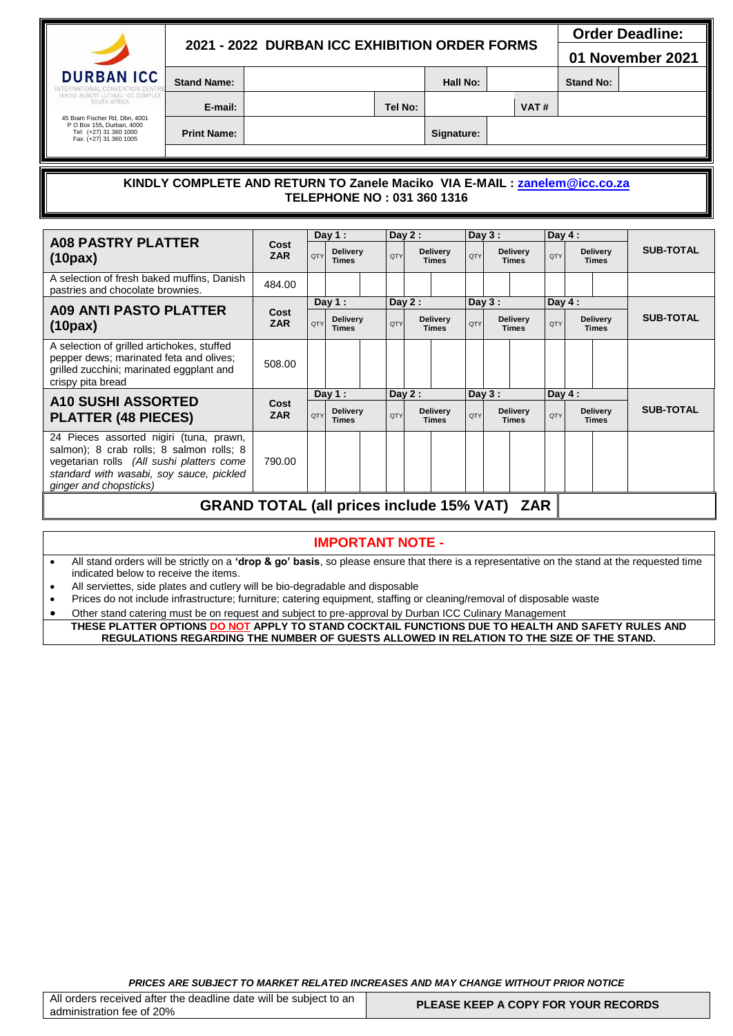| 2021 - 2022 DURBAN ICC EXHIBITION ORDER FORMS |  |
|-----------------------------------------------|--|
|-----------------------------------------------|--|

 **Order Deadline:** 

**01 November 2021**

**DURBAN ICC** 

**Stand Name: Hall No: Hall No: Stand No: Stand No: Stand No: Stand No: Stand No: Stand No: Stand No: Stand No: Stand No: Stand No: Stand No: Stand No: Stand No: Stand No: Stand No: Stand No: Stand No: Stand No: Stand N** 

45 Bram Fischer Rd, Dbn, 4001 P O Box 155, Durban, 4000 Tel: (+27) 31 360 1000 Fax: (+27) 31 360 1005

**Print Name: Signature:** 

**E-mail: Tel No: VAT #**

### **KINDLY COMPLETE AND RETURN TO Zanele Maciko VIA E-MAIL : [zanelem@icc.co.za](mailto:zanelem@icc.co.za)  TELEPHONE NO : 031 360 1316**

|                                                                                                                                                                                                        |                    |            | Day 1:                          |            | Day $2:$                        |                                 |            | Day $3:$                                      |       | Day $4:$   |                                 |            |                  |                                 |                  |
|--------------------------------------------------------------------------------------------------------------------------------------------------------------------------------------------------------|--------------------|------------|---------------------------------|------------|---------------------------------|---------------------------------|------------|-----------------------------------------------|-------|------------|---------------------------------|------------|------------------|---------------------------------|------------------|
| <b>A08 PASTRY PLATTER</b><br>(10 <sub>px</sub> )                                                                                                                                                       | Cost<br><b>ZAR</b> | QTY        | Delivery<br><b>Times</b>        | QTY        |                                 | <b>Delivery</b><br><b>Times</b> |            | <b>Delivery</b><br><b>OTY</b><br><b>Times</b> |       |            |                                 | <b>OTY</b> |                  | <b>Delivery</b><br><b>Times</b> | <b>SUB-TOTAL</b> |
| A selection of fresh baked muffins, Danish<br>pastries and chocolate brownies.                                                                                                                         | 484.00             |            |                                 |            |                                 |                                 |            |                                               |       |            |                                 |            |                  |                                 |                  |
|                                                                                                                                                                                                        |                    |            | Day $1:$                        |            | Day $2:$                        |                                 |            | Day $3:$                                      |       | Day $4:$   |                                 |            |                  |                                 |                  |
| <b>A09 ANTI PASTO PLATTER</b><br>(10 <sub>px</sub> )                                                                                                                                                   | Cost<br><b>ZAR</b> | <b>QTY</b> | <b>Delivery</b><br><b>Times</b> | <b>OTY</b> | <b>Delivery</b><br><b>Times</b> |                                 | <b>OTY</b> | <b>Delivery</b><br><b>Times</b>               |       | <b>OTY</b> | <b>Delivery</b><br><b>Times</b> |            | <b>SUB-TOTAL</b> |                                 |                  |
| A selection of grilled artichokes, stuffed<br>pepper dews; marinated feta and olives;<br>grilled zucchini; marinated eggplant and<br>crispy pita bread                                                 | 508.00             |            |                                 |            |                                 |                                 |            |                                               |       |            |                                 |            |                  |                                 |                  |
|                                                                                                                                                                                                        |                    |            | Day $1:$                        | Day $2:$   |                                 | Day $3:$                        |            | Day $4:$                                      |       |            |                                 |            |                  |                                 |                  |
| <b>A10 SUSHI ASSORTED</b><br><b>PLATTER (48 PIECES)</b>                                                                                                                                                | Cost<br><b>ZAR</b> | QTY        | Delivery<br><b>Times</b>        | QTY        |                                 | <b>Delivery</b><br><b>Times</b> |            | <b>Delivery</b><br><b>OTY</b><br><b>Times</b> |       | <b>OTY</b> | <b>Delivery</b><br><b>Times</b> |            | <b>SUB-TOTAL</b> |                                 |                  |
| 24 Pieces assorted nigiri (tuna, prawn,<br>salmon); 8 crab rolls; 8 salmon rolls; 8<br>vegetarian rolls (All sushi platters come<br>standard with wasabi, soy sauce, pickled<br>ginger and chopsticks) | 790.00             |            |                                 |            |                                 |                                 |            |                                               |       |            |                                 |            |                  |                                 |                  |
| CDAND TOTAL (all prioso include 45% VAT)                                                                                                                                                               |                    |            |                                 |            |                                 |                                 |            |                                               | 7 A D |            |                                 |            |                  |                                 |                  |

## **GRAND TOTAL (all prices include 15% VAT) ZAR**

### **IMPORTANT NOTE -**

 All stand orders will be strictly on a **'drop & go' basis**, so please ensure that there is a representative on the stand at the requested time indicated below to receive the items.

- All serviettes, side plates and cutlery will be bio-degradable and disposable
- Prices do not include infrastructure; furniture; catering equipment, staffing or cleaning/removal of disposable waste
- Other stand catering must be on request and subject to pre-approval by Durban ICC Culinary Management

**THESE PLATTER OPTIONS DO NOT APPLY TO STAND COCKTAIL FUNCTIONS DUE TO HEALTH AND SAFETY RULES AND REGULATIONS REGARDING THE NUMBER OF GUESTS ALLOWED IN RELATION TO THE SIZE OF THE STAND.**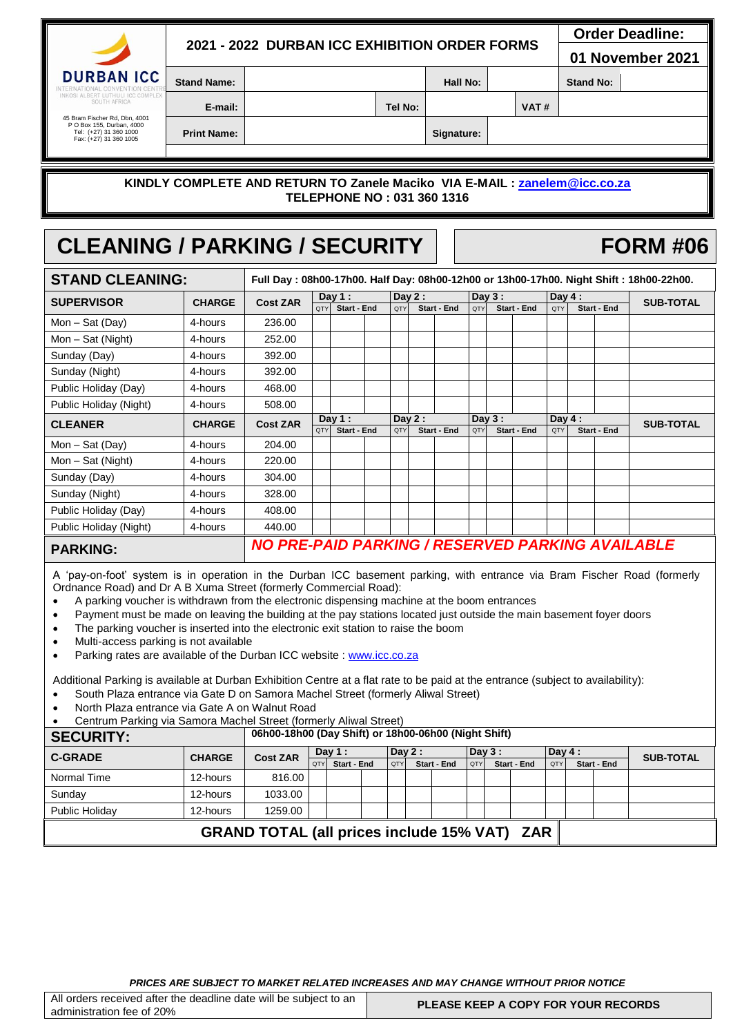|                                                                                                                |                    | 2021 - 2022 DURBAN ICC EXHIBITION ORDER FORMS | <b>Order Deadline:</b><br>01 November 2021 |            |  |                  |  |  |
|----------------------------------------------------------------------------------------------------------------|--------------------|-----------------------------------------------|--------------------------------------------|------------|--|------------------|--|--|
| <b>DURBAN ICC</b><br>INTERNATIONAL CONVENTION CENTRE                                                           | <b>Stand Name:</b> |                                               | Hall No:                                   |            |  | <b>Stand No:</b> |  |  |
| INKOSI ALBERT LUTHULI ICC COMPLEX<br>SOUTH AFRICA                                                              | E-mail:            |                                               | Tel No:                                    |            |  | VAT#             |  |  |
| 45 Bram Fischer Rd. Dbn. 4001<br>P O Box 155, Durban, 4000<br>Tel: (+27) 31 360 1000<br>Fax: (+27) 31 360 1005 | <b>Print Name:</b> |                                               |                                            | Signature: |  |                  |  |  |

### **KINDLY COMPLETE AND RETURN TO Zanele Maciko VIA E-MAIL : [zanelem@icc.co.za](mailto:zanelem@icc.co.za)  TELEPHONE NO : 031 360 1316**

# CLEANING / PARKING / SECURITY | | FORM #06

| <b>STAND CLEANING:</b> |               |                                                         |            |             |        |     |          |                    |          |  |                    |                  |  | Full Day: 08h00-17h00. Half Day: 08h00-12h00 or 13h00-17h00. Night Shift: 18h00-22h00. |  |
|------------------------|---------------|---------------------------------------------------------|------------|-------------|--------|-----|----------|--------------------|----------|--|--------------------|------------------|--|----------------------------------------------------------------------------------------|--|
| <b>SUPERVISOR</b>      | <b>CHARGE</b> | <b>Cost ZAR</b>                                         | Day $1:$   |             | Day 2: |     | Day $3:$ |                    | Day $4:$ |  |                    | <b>SUB-TOTAL</b> |  |                                                                                        |  |
|                        |               |                                                         | <b>OTY</b> | Start - End |        | QTY |          | <b>Start - End</b> | QTY      |  | <b>Start - End</b> | QTY              |  | <b>Start - End</b>                                                                     |  |
| Mon - Sat (Day)        | 4-hours       | 236.00                                                  |            |             |        |     |          |                    |          |  |                    |                  |  |                                                                                        |  |
| Mon - Sat (Night)      | 4-hours       | 252.00                                                  |            |             |        |     |          |                    |          |  |                    |                  |  |                                                                                        |  |
| Sunday (Day)           | 4-hours       | 392.00                                                  |            |             |        |     |          |                    |          |  |                    |                  |  |                                                                                        |  |
| Sunday (Night)         | 4-hours       | 392.00                                                  |            |             |        |     |          |                    |          |  |                    |                  |  |                                                                                        |  |
| Public Holiday (Day)   | 4-hours       | 468.00                                                  |            |             |        |     |          |                    |          |  |                    |                  |  |                                                                                        |  |
| Public Holiday (Night) | 4-hours       | 508.00                                                  |            |             |        |     |          |                    |          |  |                    |                  |  |                                                                                        |  |
| <b>CLEANER</b>         | <b>CHARGE</b> | <b>Cost ZAR</b>                                         | Day $1:$   |             | Day 2: |     |          | Day $3:$           |          |  | Day $4:$           |                  |  | <b>SUB-TOTAL</b>                                                                       |  |
|                        |               |                                                         | QTY        | Start - End |        | QTY |          | Start - End        | QTY      |  | Start - End        | QTY              |  | <b>Start - End</b>                                                                     |  |
| Mon - Sat (Day)        | 4-hours       | 204.00                                                  |            |             |        |     |          |                    |          |  |                    |                  |  |                                                                                        |  |
| Mon – Sat (Night)      | 4-hours       | 220.00                                                  |            |             |        |     |          |                    |          |  |                    |                  |  |                                                                                        |  |
| Sunday (Day)           | 4-hours       | 304.00                                                  |            |             |        |     |          |                    |          |  |                    |                  |  |                                                                                        |  |
| Sunday (Night)         | 4-hours       | 328.00                                                  |            |             |        |     |          |                    |          |  |                    |                  |  |                                                                                        |  |
| Public Holiday (Day)   | 4-hours       | 408.00                                                  |            |             |        |     |          |                    |          |  |                    |                  |  |                                                                                        |  |
| Public Holiday (Night) | 4-hours       | 440.00                                                  |            |             |        |     |          |                    |          |  |                    |                  |  |                                                                                        |  |
| <b>PARKING:</b>        |               | <b>NO PRE-PAID PARKING / RESERVED PARKING AVAILABLE</b> |            |             |        |     |          |                    |          |  |                    |                  |  |                                                                                        |  |

A 'pay-on-foot' system is in operation in the Durban ICC basement parking, with entrance via Bram Fischer Road (formerly Ordnance Road) and Dr A B Xuma Street (formerly Commercial Road):

- A parking voucher is withdrawn from the electronic dispensing machine at the boom entrances
- Payment must be made on leaving the building at the pay stations located just outside the main basement foyer doors
- The parking voucher is inserted into the electronic exit station to raise the boom
- Multi-access parking is not available
- Parking rates are available of the Durban ICC website : [www.icc.co.za](http://www.icc.co.za/)

Additional Parking is available at Durban Exhibition Centre at a flat rate to be paid at the entrance (subject to availability):

- South Plaza entrance via Gate D on Samora Machel Street (formerly Aliwal Street)
- North Plaza entrance via Gate A on Walnut Road
- Centrum Parking via Samora Machel Street (formerly Aliwal Street)

| <b>SECURITY:</b>                                    | 06h00-18h00 (Day Shift) or 18h00-06h00 (Night Shift) |                 |                                |  |                               |  |                               |  |                                |  |  |                  |  |  |  |
|-----------------------------------------------------|------------------------------------------------------|-----------------|--------------------------------|--|-------------------------------|--|-------------------------------|--|--------------------------------|--|--|------------------|--|--|--|
| <b>C-GRADE</b><br><b>CHARGE</b>                     |                                                      | <b>Cost ZAR</b> | Day $1:$<br>QTY<br>Start - End |  | Dav 2 :<br>Start - End<br>QTY |  | Dav 3 :<br>Start - End<br>QTY |  | Dav $4:$<br>Start - End<br>QTY |  |  | <b>SUB-TOTAL</b> |  |  |  |
| Normal Time                                         | 12-hours                                             | 816.00          |                                |  |                               |  |                               |  |                                |  |  |                  |  |  |  |
| Sunday                                              | 12-hours                                             | 1033.00         |                                |  |                               |  |                               |  |                                |  |  |                  |  |  |  |
| <b>Public Holidav</b>                               | 12-hours                                             | 1259.00         |                                |  |                               |  |                               |  |                                |  |  |                  |  |  |  |
| <b>GRAND TOTAL (all prices include 15% VAT) ZAR</b> |                                                      |                 |                                |  |                               |  |                               |  |                                |  |  |                  |  |  |  |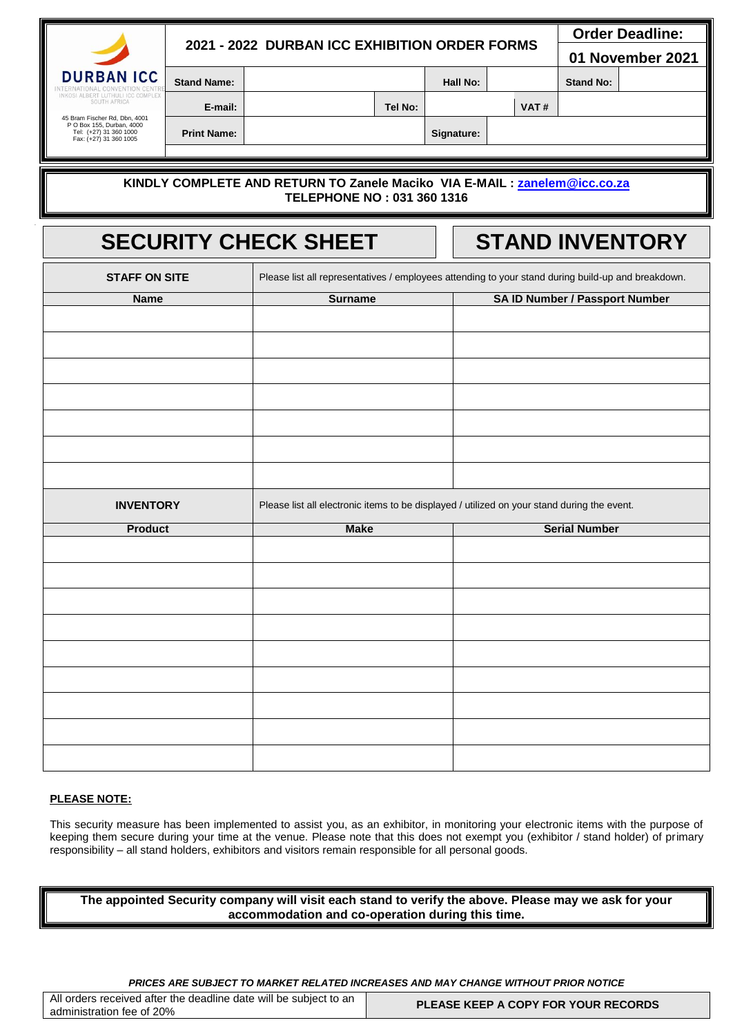|                   |                                               |  |         |          |  |      |                  | <b>Order Deadline:</b> |  |  |
|-------------------|-----------------------------------------------|--|---------|----------|--|------|------------------|------------------------|--|--|
|                   | 2021 - 2022 DURBAN ICC EXHIBITION ORDER FORMS |  |         |          |  |      |                  | 01 November 2021       |  |  |
| <b>DURBAN ICC</b> | <b>Stand Name:</b>                            |  |         | Hall No: |  |      | <b>Stand No:</b> |                        |  |  |
| SOUTH AFRICA<br>. | E-mail:                                       |  | Tel No: |          |  | VAT# |                  |                        |  |  |

45 Bram Fischer Rd, Dbn, 4001 P O Box 155, Durban, 4000 Tel: (+27) 31 360 1000 Fax: (+27) 31 360 1005

**Print Name: Signature:** 

### **KINDLY COMPLETE AND RETURN TO Zanele Maciko VIA E-MAIL : [zanelem@icc.co.za](mailto:zanelem@icc.co.za)  TELEPHONE NO : 031 360 1316**

# **SECURITY CHECK SHEET STAND INVENTORY**

| <b>STAFF ON SITE</b> | Please list all representatives / employees attending to your stand during build-up and breakdown. |                                       |  |  |  |  |  |  |
|----------------------|----------------------------------------------------------------------------------------------------|---------------------------------------|--|--|--|--|--|--|
| <b>Name</b>          | <b>Surname</b>                                                                                     | <b>SA ID Number / Passport Number</b> |  |  |  |  |  |  |
|                      |                                                                                                    |                                       |  |  |  |  |  |  |
|                      |                                                                                                    |                                       |  |  |  |  |  |  |
|                      |                                                                                                    |                                       |  |  |  |  |  |  |
|                      |                                                                                                    |                                       |  |  |  |  |  |  |
|                      |                                                                                                    |                                       |  |  |  |  |  |  |
|                      |                                                                                                    |                                       |  |  |  |  |  |  |
|                      |                                                                                                    |                                       |  |  |  |  |  |  |
|                      |                                                                                                    |                                       |  |  |  |  |  |  |
|                      |                                                                                                    |                                       |  |  |  |  |  |  |
|                      |                                                                                                    |                                       |  |  |  |  |  |  |
|                      |                                                                                                    |                                       |  |  |  |  |  |  |
|                      |                                                                                                    |                                       |  |  |  |  |  |  |
|                      |                                                                                                    |                                       |  |  |  |  |  |  |
|                      |                                                                                                    |                                       |  |  |  |  |  |  |
| <b>INVENTORY</b>     | Please list all electronic items to be displayed / utilized on your stand during the event.        |                                       |  |  |  |  |  |  |
|                      |                                                                                                    |                                       |  |  |  |  |  |  |
| <b>Product</b>       | <b>Make</b>                                                                                        | <b>Serial Number</b>                  |  |  |  |  |  |  |
|                      |                                                                                                    |                                       |  |  |  |  |  |  |
|                      |                                                                                                    |                                       |  |  |  |  |  |  |
|                      |                                                                                                    |                                       |  |  |  |  |  |  |
|                      |                                                                                                    |                                       |  |  |  |  |  |  |
|                      |                                                                                                    |                                       |  |  |  |  |  |  |
|                      |                                                                                                    |                                       |  |  |  |  |  |  |
|                      |                                                                                                    |                                       |  |  |  |  |  |  |
|                      |                                                                                                    |                                       |  |  |  |  |  |  |
|                      |                                                                                                    |                                       |  |  |  |  |  |  |
|                      |                                                                                                    |                                       |  |  |  |  |  |  |
|                      |                                                                                                    |                                       |  |  |  |  |  |  |
|                      |                                                                                                    |                                       |  |  |  |  |  |  |
|                      |                                                                                                    |                                       |  |  |  |  |  |  |
|                      |                                                                                                    |                                       |  |  |  |  |  |  |

### **PLEASE NOTE:**

This security measure has been implemented to assist you, as an exhibitor, in monitoring your electronic items with the purpose of keeping them secure during your time at the venue. Please note that this does not exempt you (exhibitor / stand holder) of primary responsibility – all stand holders, exhibitors and visitors remain responsible for all personal goods.

**The appointed Security company will visit each stand to verify the above. Please may we ask for your accommodation and co-operation during this time.** 

| All orders received after the deadline date will be subject to an<br>administration fee of 20% | <b>PLEASE KEEP A COPY FOR YOUR RECORDS</b> |
|------------------------------------------------------------------------------------------------|--------------------------------------------|
|------------------------------------------------------------------------------------------------|--------------------------------------------|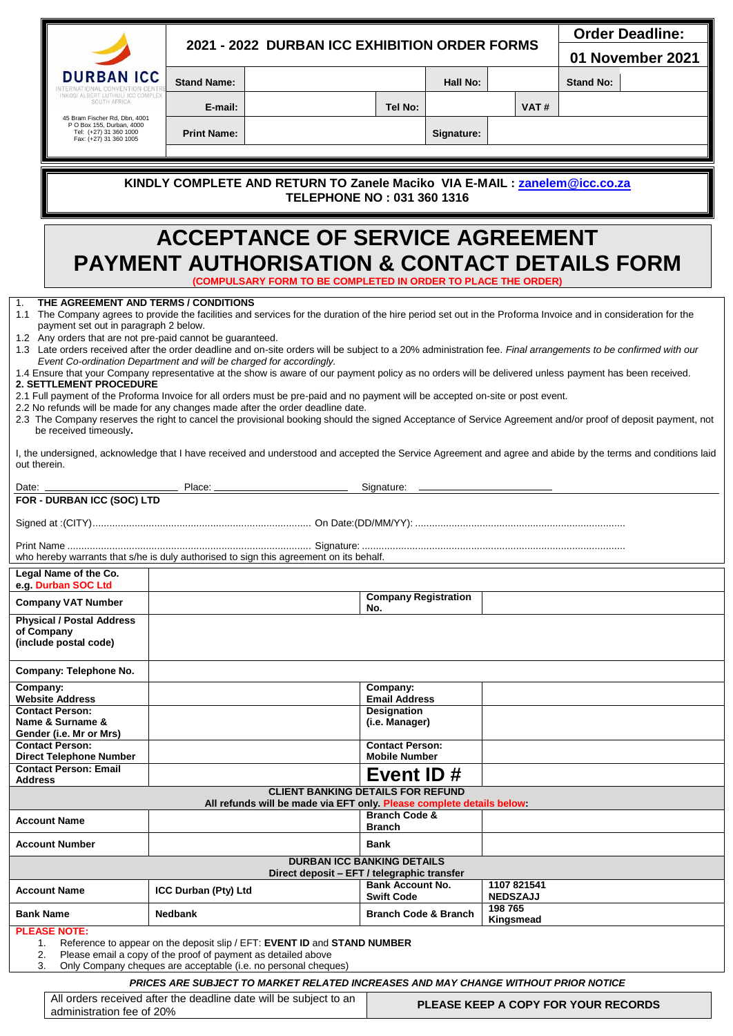|                                                                                                                |                                                                                                                                                             |                             | 2021 - 2022 DURBAN ICC EXHIBITION ORDER FORMS                                                                                                                                                                      |                                      |            |                            | <b>Order Deadline:</b>                                                                                                                                         |  |  |  |
|----------------------------------------------------------------------------------------------------------------|-------------------------------------------------------------------------------------------------------------------------------------------------------------|-----------------------------|--------------------------------------------------------------------------------------------------------------------------------------------------------------------------------------------------------------------|--------------------------------------|------------|----------------------------|----------------------------------------------------------------------------------------------------------------------------------------------------------------|--|--|--|
|                                                                                                                |                                                                                                                                                             |                             |                                                                                                                                                                                                                    |                                      |            |                            | 01 November 2021                                                                                                                                               |  |  |  |
| <b>DURBAN ICC</b>                                                                                              |                                                                                                                                                             | <b>Stand Name:</b>          |                                                                                                                                                                                                                    |                                      | Hall No:   |                            | <b>Stand No:</b>                                                                                                                                               |  |  |  |
| VKOSI ALBERT LUTHULI ICC COMPLE<br>SOUTH AFRICA                                                                |                                                                                                                                                             | E-mail:                     |                                                                                                                                                                                                                    | Tel No:                              |            | VAT#                       |                                                                                                                                                                |  |  |  |
| 45 Bram Fischer Rd, Dbn, 4001<br>P O Box 155, Durban, 4000<br>Tel: (+27) 31 360 1000<br>Fax: (+27) 31 360 1005 |                                                                                                                                                             | <b>Print Name:</b>          |                                                                                                                                                                                                                    |                                      | Signature: |                            |                                                                                                                                                                |  |  |  |
|                                                                                                                |                                                                                                                                                             |                             |                                                                                                                                                                                                                    |                                      |            |                            |                                                                                                                                                                |  |  |  |
|                                                                                                                |                                                                                                                                                             |                             | KINDLY COMPLETE AND RETURN TO Zanele Maciko VIA E-MAIL : zanelem@icc.co.za                                                                                                                                         |                                      |            |                            |                                                                                                                                                                |  |  |  |
|                                                                                                                |                                                                                                                                                             |                             | TELEPHONE NO: 031 360 1316                                                                                                                                                                                         |                                      |            |                            |                                                                                                                                                                |  |  |  |
|                                                                                                                |                                                                                                                                                             |                             | <b>ACCEPTANCE OF SERVICE AGREEMENT</b>                                                                                                                                                                             |                                      |            |                            |                                                                                                                                                                |  |  |  |
| <b>PAYMENT AUTHORISATION &amp; CONTACT DETAILS FORM</b>                                                        |                                                                                                                                                             |                             |                                                                                                                                                                                                                    |                                      |            |                            |                                                                                                                                                                |  |  |  |
|                                                                                                                |                                                                                                                                                             |                             | (COMPULSARY FORM TO BE COMPLETED IN ORDER TO PLACE THE ORDER)                                                                                                                                                      |                                      |            |                            |                                                                                                                                                                |  |  |  |
| THE AGREEMENT AND TERMS / CONDITIONS<br>$\mathbf{1}$ .                                                         |                                                                                                                                                             |                             |                                                                                                                                                                                                                    |                                      |            |                            | 1.1 The Company agrees to provide the facilities and services for the duration of the hire period set out in the Proforma Invoice and in consideration for the |  |  |  |
| payment set out in paragraph 2 below.<br>1.2 Any orders that are not pre-paid cannot be guaranteed.            |                                                                                                                                                             |                             |                                                                                                                                                                                                                    |                                      |            |                            |                                                                                                                                                                |  |  |  |
|                                                                                                                |                                                                                                                                                             |                             | Event Co-ordination Department and will be charged for accordingly.                                                                                                                                                |                                      |            |                            | 1.3 Late orders received after the order deadline and on-site orders will be subject to a 20% administration fee. Final arrangements to be confirmed with our  |  |  |  |
| 2. SETTLEMENT PROCEDURE                                                                                        |                                                                                                                                                             |                             |                                                                                                                                                                                                                    |                                      |            |                            | 1.4 Ensure that your Company representative at the show is aware of our payment policy as no orders will be delivered unless payment has been received.        |  |  |  |
|                                                                                                                |                                                                                                                                                             |                             | 2.1 Full payment of the Proforma Invoice for all orders must be pre-paid and no payment will be accepted on-site or post event.<br>2.2 No refunds will be made for any changes made after the order deadline date. |                                      |            |                            |                                                                                                                                                                |  |  |  |
| be received timeously.                                                                                         |                                                                                                                                                             |                             |                                                                                                                                                                                                                    |                                      |            |                            | 2.3 The Company reserves the right to cancel the provisional booking should the signed Acceptance of Service Agreement and/or proof of deposit payment, not    |  |  |  |
| out therein.                                                                                                   | I, the undersigned, acknowledge that I have received and understood and accepted the Service Agreement and agree and abide by the terms and conditions laid |                             |                                                                                                                                                                                                                    |                                      |            |                            |                                                                                                                                                                |  |  |  |
| Date: _______________                                                                                          |                                                                                                                                                             |                             |                                                                                                                                                                                                                    | Signature: ___                       |            |                            |                                                                                                                                                                |  |  |  |
| FOR - DURBAN ICC (SOC) LTD                                                                                     |                                                                                                                                                             |                             |                                                                                                                                                                                                                    |                                      |            |                            |                                                                                                                                                                |  |  |  |
|                                                                                                                |                                                                                                                                                             |                             |                                                                                                                                                                                                                    |                                      |            |                            |                                                                                                                                                                |  |  |  |
|                                                                                                                |                                                                                                                                                             |                             | who hereby warrants that s/he is duly authorised to sign this agreement on its behalf.                                                                                                                             |                                      |            |                            |                                                                                                                                                                |  |  |  |
| Legal Name of the Co.<br>e.g. Durban SOC Ltd                                                                   |                                                                                                                                                             |                             |                                                                                                                                                                                                                    |                                      |            |                            |                                                                                                                                                                |  |  |  |
| <b>Company VAT Number</b>                                                                                      |                                                                                                                                                             |                             |                                                                                                                                                                                                                    | <b>Company Registration</b><br>No.   |            |                            |                                                                                                                                                                |  |  |  |
| <b>Physical / Postal Address</b><br>of Company<br>(include postal code)                                        |                                                                                                                                                             |                             |                                                                                                                                                                                                                    |                                      |            |                            |                                                                                                                                                                |  |  |  |
| Company: Telephone No.                                                                                         |                                                                                                                                                             |                             |                                                                                                                                                                                                                    |                                      |            |                            |                                                                                                                                                                |  |  |  |
| Company:<br><b>Website Address</b>                                                                             |                                                                                                                                                             |                             |                                                                                                                                                                                                                    | Company:<br><b>Email Address</b>     |            |                            |                                                                                                                                                                |  |  |  |
| <b>Contact Person:</b><br>Name & Surname &                                                                     |                                                                                                                                                             |                             |                                                                                                                                                                                                                    | <b>Designation</b><br>(i.e. Manager) |            |                            |                                                                                                                                                                |  |  |  |
| Gender (i.e. Mr or Mrs)<br><b>Contact Person:</b>                                                              |                                                                                                                                                             |                             |                                                                                                                                                                                                                    | <b>Contact Person:</b>               |            |                            |                                                                                                                                                                |  |  |  |
| <b>Direct Telephone Number</b><br><b>Contact Person: Email</b>                                                 |                                                                                                                                                             |                             |                                                                                                                                                                                                                    | <b>Mobile Number</b>                 |            |                            |                                                                                                                                                                |  |  |  |
| <b>Address</b>                                                                                                 |                                                                                                                                                             |                             | <b>CLIENT BANKING DETAILS FOR REFUND</b>                                                                                                                                                                           | Event ID#                            |            |                            |                                                                                                                                                                |  |  |  |
|                                                                                                                |                                                                                                                                                             |                             | All refunds will be made via EFT only. Please complete details below:                                                                                                                                              | <b>Branch Code &amp;</b>             |            |                            |                                                                                                                                                                |  |  |  |
| <b>Account Name</b>                                                                                            |                                                                                                                                                             |                             |                                                                                                                                                                                                                    | <b>Branch</b>                        |            |                            |                                                                                                                                                                |  |  |  |
| <b>Account Number</b>                                                                                          |                                                                                                                                                             |                             | <b>DURBAN ICC BANKING DETAILS</b>                                                                                                                                                                                  | <b>Bank</b>                          |            |                            |                                                                                                                                                                |  |  |  |
|                                                                                                                |                                                                                                                                                             |                             | Direct deposit - EFT / telegraphic transfer                                                                                                                                                                        | <b>Bank Account No.</b>              |            | 1107 821541                |                                                                                                                                                                |  |  |  |
| <b>Account Name</b>                                                                                            |                                                                                                                                                             | <b>ICC Durban (Pty) Ltd</b> |                                                                                                                                                                                                                    | <b>Swift Code</b>                    |            | <b>NEDSZAJJ</b><br>198 765 |                                                                                                                                                                |  |  |  |
| <b>Bank Name</b>                                                                                               |                                                                                                                                                             | <b>Nedbank</b>              |                                                                                                                                                                                                                    | <b>Branch Code &amp; Branch</b>      |            | Kingsmead                  |                                                                                                                                                                |  |  |  |
| <b>PLEASE NOTE:</b><br>1.                                                                                      |                                                                                                                                                             |                             | Reference to appear on the deposit slip / EFT: EVENT ID and STAND NUMBER                                                                                                                                           |                                      |            |                            |                                                                                                                                                                |  |  |  |
| 2.<br>3.                                                                                                       |                                                                                                                                                             |                             | Please email a copy of the proof of payment as detailed above<br>Only Company cheques are acceptable (i.e. no personal cheques)                                                                                    |                                      |            |                            |                                                                                                                                                                |  |  |  |
|                                                                                                                |                                                                                                                                                             |                             | PRICES ARE SUBJECT TO MARKET RELATED INCREASES AND MAY CHANGE WITHOUT PRIOR NOTICE                                                                                                                                 |                                      |            |                            |                                                                                                                                                                |  |  |  |
| administration fee of 20%                                                                                      |                                                                                                                                                             |                             | All orders received after the deadline date will be subject to an                                                                                                                                                  |                                      |            |                            | <b>PLEASE KEEP A COPY FOR YOUR RECORDS</b>                                                                                                                     |  |  |  |